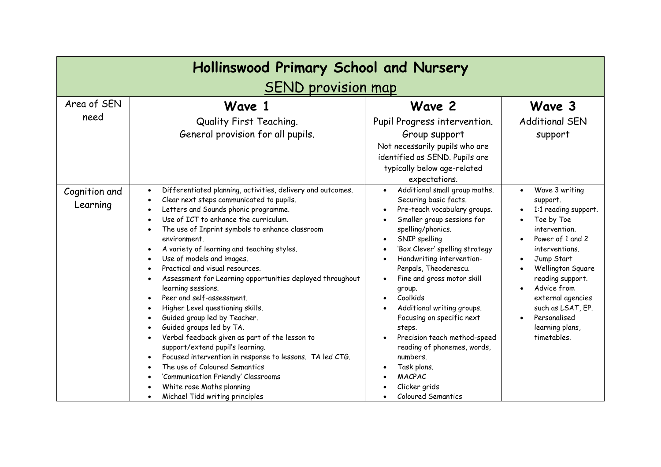| Hollinswood Primary School and Nursery |                                                                                                                                                                                                                                                                                                                                                                                                                                                                                                                                                                                                                                                                                                                                                                                                                                                                                                                                                                                                                                                              |                                                                                                                                                                                                                                                                                                                                                                                                                                                                                                                                                   |                                                                                                                                                                                                                                                                                                        |  |  |
|----------------------------------------|--------------------------------------------------------------------------------------------------------------------------------------------------------------------------------------------------------------------------------------------------------------------------------------------------------------------------------------------------------------------------------------------------------------------------------------------------------------------------------------------------------------------------------------------------------------------------------------------------------------------------------------------------------------------------------------------------------------------------------------------------------------------------------------------------------------------------------------------------------------------------------------------------------------------------------------------------------------------------------------------------------------------------------------------------------------|---------------------------------------------------------------------------------------------------------------------------------------------------------------------------------------------------------------------------------------------------------------------------------------------------------------------------------------------------------------------------------------------------------------------------------------------------------------------------------------------------------------------------------------------------|--------------------------------------------------------------------------------------------------------------------------------------------------------------------------------------------------------------------------------------------------------------------------------------------------------|--|--|
| <b>SEND provision map</b>              |                                                                                                                                                                                                                                                                                                                                                                                                                                                                                                                                                                                                                                                                                                                                                                                                                                                                                                                                                                                                                                                              |                                                                                                                                                                                                                                                                                                                                                                                                                                                                                                                                                   |                                                                                                                                                                                                                                                                                                        |  |  |
| Area of SEN<br>need                    | Wave 1<br>Quality First Teaching.<br>General provision for all pupils.                                                                                                                                                                                                                                                                                                                                                                                                                                                                                                                                                                                                                                                                                                                                                                                                                                                                                                                                                                                       | Wave 2<br>Pupil Progress intervention.<br>Group support                                                                                                                                                                                                                                                                                                                                                                                                                                                                                           | Wave 3<br><b>Additional SEN</b><br>support                                                                                                                                                                                                                                                             |  |  |
|                                        |                                                                                                                                                                                                                                                                                                                                                                                                                                                                                                                                                                                                                                                                                                                                                                                                                                                                                                                                                                                                                                                              | Not necessarily pupils who are<br>identified as SEND. Pupils are<br>typically below age-related<br>expectations.                                                                                                                                                                                                                                                                                                                                                                                                                                  |                                                                                                                                                                                                                                                                                                        |  |  |
| Cognition and<br>Learning              | Differentiated planning, activities, delivery and outcomes.<br>$\bullet$<br>Clear next steps communicated to pupils.<br>$\bullet$<br>Letters and Sounds phonic programme.<br>$\bullet$<br>Use of ICT to enhance the curriculum.<br>$\bullet$<br>The use of Inprint symbols to enhance classroom<br>$\bullet$<br>environment.<br>A variety of learning and teaching styles.<br>Use of models and images.<br>$\bullet$<br>Practical and visual resources.<br>$\bullet$<br>Assessment for Learning opportunities deployed throughout<br>$\bullet$<br>learning sessions.<br>Peer and self-assessment.<br>Higher Level questioning skills.<br>Guided group led by Teacher.<br>Guided groups led by TA.<br>$\bullet$<br>Verbal feedback given as part of the lesson to<br>$\bullet$<br>support/extend pupil's learning.<br>Focused intervention in response to lessons. TA led CTG.<br>$\bullet$<br>The use of Coloured Semantics<br>$\bullet$<br>'Communication Friendly' Classrooms<br>White rose Maths planning<br>Michael Tidd writing principles<br>$\bullet$ | Additional small group maths.<br>$\bullet$<br>Securing basic facts.<br>Pre-teach vocabulary groups.<br>Smaller group sessions for<br>spelling/phonics.<br>SNIP spelling<br>'Box Clever' spelling strategy<br>Handwriting intervention-<br>Penpals, Theoderescu.<br>Fine and gross motor skill<br>group.<br>Coolkids<br>Additional writing groups.<br>Focusing on specific next<br>steps.<br>Precision teach method-speed<br>reading of phonemes, words,<br>numbers.<br>Task plans.<br><b>MACPAC</b><br>Clicker grids<br><b>Coloured Semantics</b> | Wave 3 writing<br>$\bullet$<br>support.<br>1:1 reading support.<br>Toe by Toe<br>intervention.<br>Power of 1 and 2<br>interventions.<br>Jump Start<br>Wellington Square<br>reading support.<br>Advice from<br>external agencies<br>such as LSAT, EP.<br>Personalised<br>learning plans,<br>timetables. |  |  |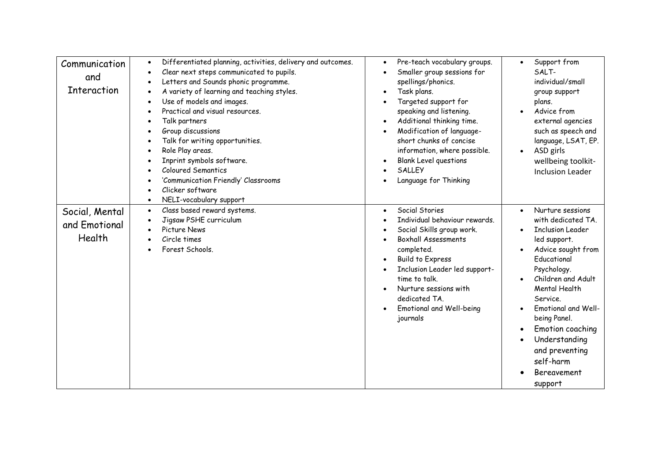| Communication<br>and<br><b>Interaction</b> | Differentiated planning, activities, delivery and outcomes.<br>$\bullet$<br>Clear next steps communicated to pupils.<br>$\bullet$<br>Letters and Sounds phonic programme.<br>$\bullet$<br>A variety of learning and teaching styles.<br>Use of models and images.<br>$\bullet$<br>Practical and visual resources.<br>Talk partners<br>Group discussions<br>Talk for writing opportunities.<br>Role Play areas.<br>$\bullet$<br>Inprint symbols software.<br>Coloured Semantics<br>'Communication Friendly' Classrooms<br>Clicker software<br>NELI-vocabulary support<br>$\bullet$ | Pre-teach vocabulary groups.<br>$\bullet$<br>Smaller group sessions for<br>spellings/phonics.<br>Task plans.<br>Targeted support for<br>speaking and listening.<br>Additional thinking time.<br>Modification of language-<br>short chunks of concise<br>information, where possible.<br><b>Blank Level questions</b><br><b>SALLEY</b><br>Language for Thinking | Support from<br>$\bullet$<br>SALT-<br>individual/small<br>group support<br>plans.<br>Advice from<br>external agencies<br>such as speech and<br>language, LSAT, EP.<br>ASD girls<br>$\bullet$<br>wellbeing toolkit-<br><b>Inclusion Leader</b>                                                                                              |
|--------------------------------------------|-----------------------------------------------------------------------------------------------------------------------------------------------------------------------------------------------------------------------------------------------------------------------------------------------------------------------------------------------------------------------------------------------------------------------------------------------------------------------------------------------------------------------------------------------------------------------------------|----------------------------------------------------------------------------------------------------------------------------------------------------------------------------------------------------------------------------------------------------------------------------------------------------------------------------------------------------------------|--------------------------------------------------------------------------------------------------------------------------------------------------------------------------------------------------------------------------------------------------------------------------------------------------------------------------------------------|
| Social, Mental<br>and Emotional<br>Health  | Class based reward systems.<br>$\bullet$<br>Jigsaw PSHE curriculum<br>Picture News<br>Circle times<br>$\bullet$<br>Forest Schools.                                                                                                                                                                                                                                                                                                                                                                                                                                                | Social Stories<br>$\bullet$<br>Individual behaviour rewards.<br>Social Skills group work.<br><b>Boxhall Assessments</b><br>completed.<br><b>Build to Express</b><br>Inclusion Leader led support-<br>time to talk.<br>Nurture sessions with<br>dedicated TA.<br>Emotional and Well-being<br>journals                                                           | Nurture sessions<br>$\bullet$<br>with dedicated TA.<br><b>Inclusion Leader</b><br>led support.<br>Advice sought from<br>Educational<br>Psychology.<br>Children and Adult<br>Mental Health<br>Service.<br>Emotional and Well-<br>being Panel.<br>Emotion coaching<br>Understanding<br>and preventing<br>self-harm<br>Bereavement<br>support |